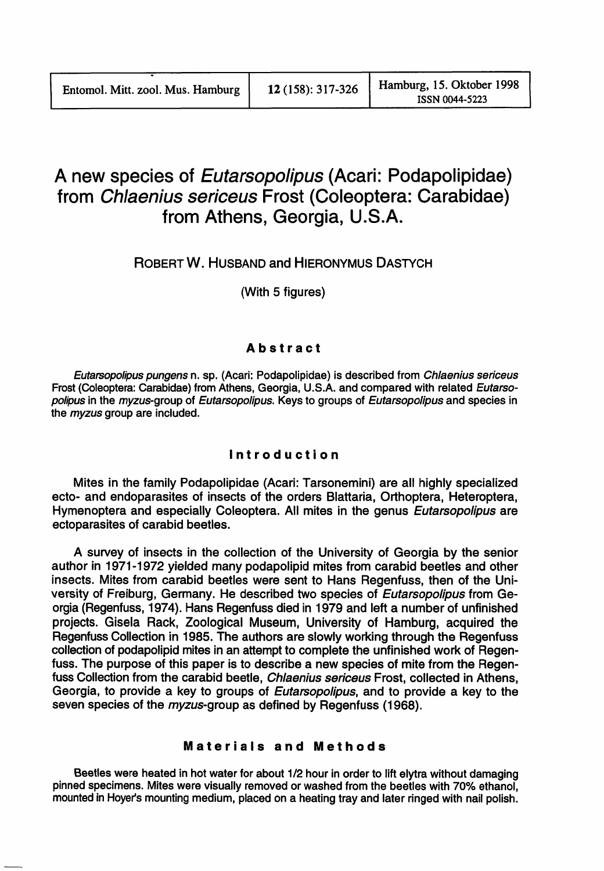# A new species of Eutarsopolipus (Acari: Podapolipidae) from Chlaenius sericeus Frost (Coleoptera: Carabidae) from Athens, Georgia, U.S.A.

ROBERT W. HUSBAND and HIERONYMUS DASTYCH

(With 5 figures)

## Abstract

Eutarsopolipus pungens n. sp. (Acari: Podapolipidae) is described from Chlaenius sericeus Frost (Coleoptera: Carabidae) from Athens, Georgia, U.S.A. and compared with related Eutarsopolipus in the myzus-group of Eutarsopolipus. Keys to groups of Eutarsopolipus and species in the *myzus* group are included.

## Introduction

Mites in the family Podapolipidae (Acari: Tarsonemini) are all highly specialized ecto- and endoparasites of insects of the orders Blattaria, Orthoptera, Heteroptera, Hymenoptera and especially Coleoptera. All mites in the genus Eutarsopolipus are ectoparasites of carabid beetles.

A survey of insects in the collection of the University of Georgia by the senior author in 1971-1972 yielded many podapolipid mites from carabid beetles and other insects. Mites from carabid beetles were sent to Hans Regenfuss, then of the University of Freiburg, Germany. He described two species of Eutarsopolipus from Georgia (Regenfuss, 1974). Hans Regenfuss died in 1979 and left a number of unfinished projects. Gisela Rack, Zoological Museum, University of Hamburg, acquired the Regenfuss Collection in 1985. The authors are slowly working through the Regenfuss collection of podapolipid mites in an attempt to complete the unfinished work of Regenfuss. The purpose of this paper is to describe a new species of mite from the Regenfuss Collection from the carabid beetle, Chlaenius sericeus Frost, collected in Athens, Georgia, to provide a key to groups of Eutarsopolipus, and to provide a key to the seven species of the *myzus*-group as defined by Regenfuss (1968).

#### Materials and Methods

Beetles were heated in hot water for about 1/2 hour in order to lift elytra without damaging pinned specimens. Mites were visually removed or washed from the beetles with 70% ethanol, mounted in Hoyer's mounting medium, placed on a heating tray and later ringed with nail polish.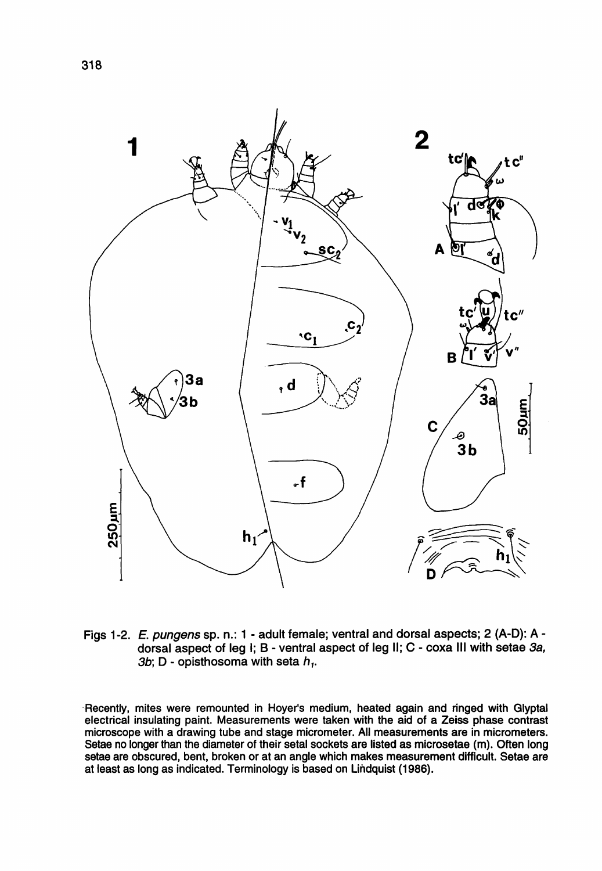

Figs 1-2. E. pungens sp. n.: 1 - adult female; ventral and dorsal aspects; 2 (A-D): A dorsal aspect of leg I; 8 - ventral aspect of leg 11; C - coxa III with setae 3a, 3b; D - opisthosoma with seta  $h_t$ .

-Recently, mites were remounted in Hoyer's medium, heated again and ringed with Glyptal electrical insulating paint. Measurements were taken with the aid of a Zeiss phase contrast microscope with a drawing tube and stage micrometer. All measurements are in micrometers. Setae no longer than the diameter of their setal sockets are listed as microsetae (m). Often long setae are obscured, bent, broken or at an angle which makes measurement difficult. Setae are at least as long as indicated. Terminology is based on Lindquist (1986).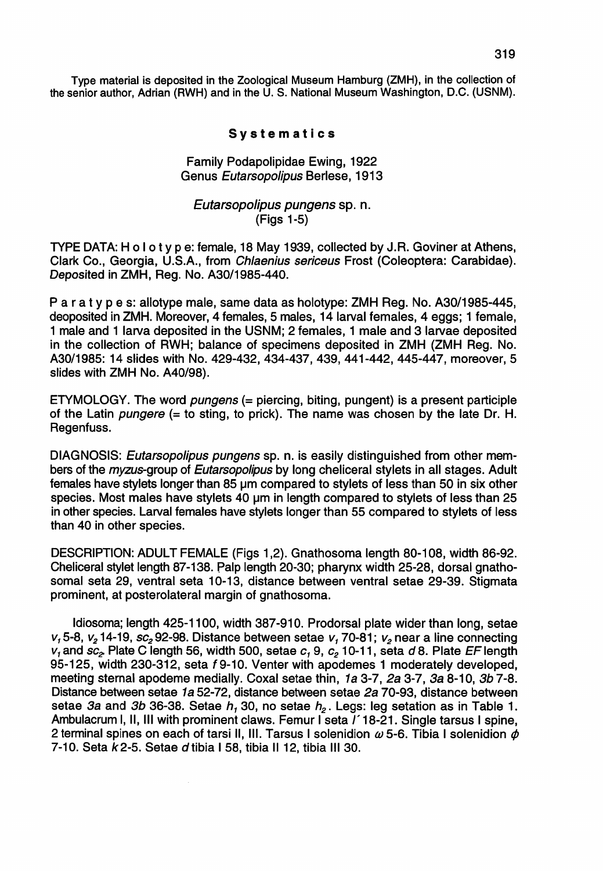Type material is deposited in the Zoological Museum Hamburg (ZMH), in the collection of the senior author, Adrian (RWH) and in the U. S. National Museum Washington, D.C. (USNM).

#### Systematics

#### Family Podapolipidae Ewing, 1922 Genus Eutarsopolipus Berlese, 1913

## Eutarsopolipus pungens sp. n. (Figs 1-5)

TYPE DATA: <sup>H</sup> <sup>0</sup> lot Y<sup>p</sup> e: female, <sup>18</sup> May 1939, collected by J.R. Goviner at Athens, Clark Co., Georgia, U.S.A., from Chlaenius sericeus Frost (Coleoptera: Carabidae). Deposited in ZMH, Reg. No. A30/1985-440.

Par a t y pes: allotype male, same data as holotype: ZMH Reg. No. A30/1985-445, deoposited in ZMH. Moreover, 4 females, 5 males, 14 larval females, 4 eggs; 1 female, 1 male and 1 larva deposited in the USNM; 2 females, 1 male and 3 larvae deposited in the collection of RWH; balance of specimens deposited in ZMH (ZMH Reg. No. A30/1985: 14 slides with No. 429-432, 434-437, 439, 441-442, 445-447, moreover,S slides with ZMH No. A40/98).

 $E$ TYMOLOGY. The word *pungens*  $(=$  piercing, biting, pungent) is a present participle of the Latin *pungere*  $(=$  to sting, to prick). The name was chosen by the late Dr. H. Regenfuss.

DIAGNOSIS: *Eutarsopolipus pungens* sp. n. is easily distinguished from other members of the myzus-group of Eutarsopolipus by long cheliceral stylets in all stages. Adult females have stylets longer than 85 µm compared to stylets of less than 50 in six other species. Most males have stylets 40 um in length compared to stylets of less than 25 in other species. Larval females have stylets longer than 55 compared to stylets of less than 40 in other species.

DESCRIPTION: ADULT FEMALE (Figs 1,2). Gnathosoma length 80-108, width 86-92. Cheliceral stylet length 87-138. Palp length 20-30; pharynx width 25-28, dorsal gnathosomal seta 29, ventral seta 10-13, distance between ventral setae 29-39. Stigmata prominent, at posterolateral margin of gnathosoma.

Idiosoma; length 425-1100, width 387-910. Prodorsal plate wider than long, setae  $v_1$  5-8,  $v_2$  14-19,  $sc_2$  92-98. Distance between setae  $v_1$ , 70-81;  $v_2$  near a line connecting  $v_1$  and  $s c_2$  Plate C length 56, width 500, setae  $c_1$  9,  $c_2$  10-11, seta d 8. Plate EF length 95-125, width 230-312, seta f9-10. Venter with apodemes 1 moderately developed, meeting sternal apodeme medially. Coxal setae thin, 1a 3-7, 2a 3-7, 3a 8-10, 3b 7-8. Distance between setae 1a 52-72, distance between setae 2a 70-93, distance between setae 3a and 3b 36-38. Setae  $h_1$  30, no setae  $h_2$ . Legs: leg setation as in Table 1. Ambulacrum I, II, III with prominent claws. Femur I seta  $\overline{l}$  18-21. Single tarsus I spine, 2 terminal spines on each of tarsi II, III. Tarsus I solenidion  $\omega$  5-6. Tibia I solenidion  $\phi$ 7-10. Seta *k2-5.* Setae dtibia I 58, tibia 1112, tibia III 30.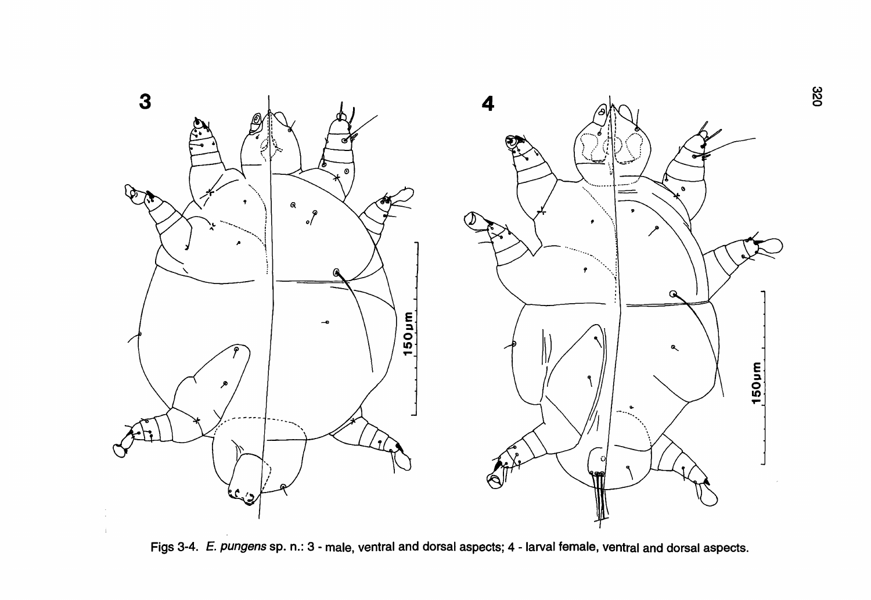

Figs 3-4. E. pungens sp. n.: 3 - male, ventral and dorsal aspects; 4 - larval female, ventral and dorsal aspects.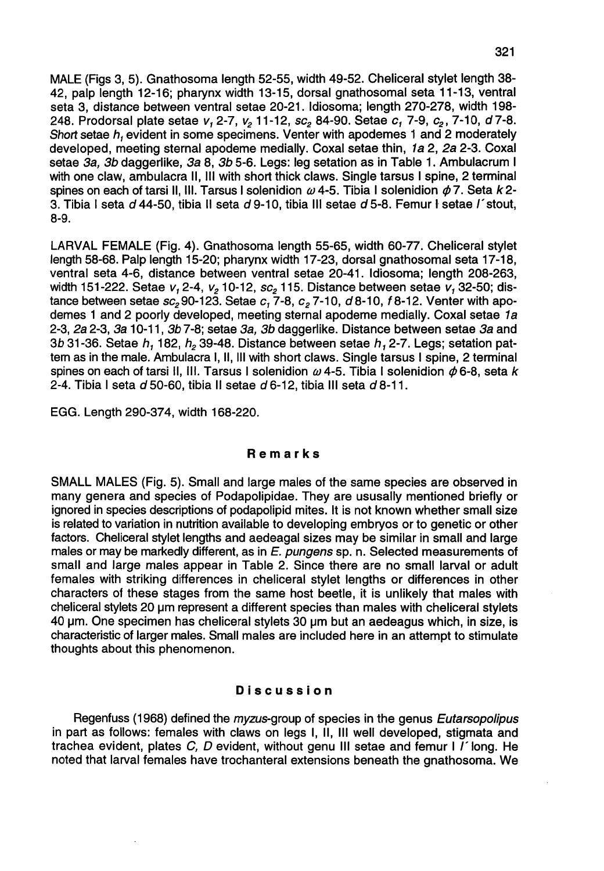MALE (Figs 3,5). Gnathosoma length 52-55, width 49-52. Cheliceral stylet length 38- 42, palp length 12-16; pharynx width 13-15, dorsal gnathosomal seta 11-13, ventral seta 3, distance between ventral setae 20-21. Idiosoma; length 270-278, width 198- 248. Prodorsal plate setae v<sub>1</sub> 2-7, v<sub>2</sub> 11-12, sc<sub>2</sub> 84-90. Setae c<sub>1</sub> 7-9, c<sub>2</sub>, 7-10, d 7-8. Short setae  $h_i$ , evident in some specimens. Venter with apodemes 1 and 2 moderately developed, meeting sternal apodeme medially. Coxal setae thin, 1a 2, 2a 2-3. Coxal setae 3a, 3b daggerlike, 3a 8, 3b 5-6. Legs: leg setation as in Table 1. Ambulacrum I with one claw, ambulacra 11, III with short thick claws. Single tarsus I spine, 2 terminal spines on each of tarsi II, III. Tarsus I solenidion  $\omega$  4-5. Tibia I solenidion  $\phi$  7. Seta *k* 2-3. Tibia I seta d 44-50, tibia II seta d 9-10, tibia III setae d 5-8. Femur I setae  $I$  stout, 8-9.

LARVAL FEMALE (Fig. 4). Gnathosoma length 55-65, width 60-77. Cheliceral stylet length 58-68. Palp length 15-20; pharynx width 17-23, dorsal gnathosomal seta 17-18, ventral seta 4-6, distance between ventral setae 20-41. Idiosoma; length 208-263, width 151-222. Setae *v*, 2-4, *v<sub>2</sub>* 10-12, *sc<sub>2</sub>* 115. Distance between setae *v*, 32-50; distance between setae *sc<sub>2</sub>* 90-123. Setae *c*<sub>1</sub> 7-8, *c*<sub>2</sub> 7-10, *d* 8-10, *f* 8-12. Venter with apodemes 1 and 2 poorly developed, meeting sternal apodeme medially. Coxal setae 1a 2-3,  $2a$  2-3,  $3a$  10-11,  $3b$  7-8; setae  $3a$ ,  $3b$  daggerlike. Distance between setae  $3a$  and *3b* 31-36. Setae *h*, 182, *h<sub>2</sub>* 39-48. Distance between setae *h*, 2-7. Legs; setation pattern as in the male. Ambulacra I, 11, III with short claws. Single tarsus I spine, 2 terminal spines on each of tarsi II, III. Tarsus I solenidion  $\omega$  4-5. Tibia I solenidion  $\phi$  6-8, seta *k* 2-4. Tibia I seta  $d$  50-60, tibia II setae  $d$  6-12, tibia III seta  $d$  8-11.

EGG. Length 290-374, width 168-220.

#### Remarks

SMALL MALES (Fig. 5). Small and large males of the same species are observed in many genera and species of Podapolipidae. They are ususally mentioned briefly or ignored in species descriptions of podapolipid mites. It is not known whether small size is related to variation in nutrition available to developing embryos or to genetic or other factors. Cheliceral stylet lengths and aedeagal sizes may be similar in small and large males or may be markedly different, as in E. pungens sp. n. Selected measurements of small and large males appear in Table 2. Since there are no small larval or adult females with striking differences in cheliceral stylet lengths or differences in other characters of these stages from the same host beetle, it is unlikely that males with cheliceral stylets 20  $\mu$ m represent a different species than males with cheliceral stylets  $40 \mu$ m. One specimen has cheliceral stylets  $30 \mu$ m but an aedeagus which, in size, is characteristic of larger males. Small males are included here in an attempt to stimulate thoughts about this phenomenon.

#### Discussion

Regenfuss (1968) defined the *myzus*-group of species in the genus *Eutarsopolipus* in part as follows: females with claws on legs I, 11, III well developed, stigmata and trachea evident, plates C, D evident, without genu III setae and femur I  $\ell$  long. He noted that larval females have trochanteral extensions beneath the gnathosoma. We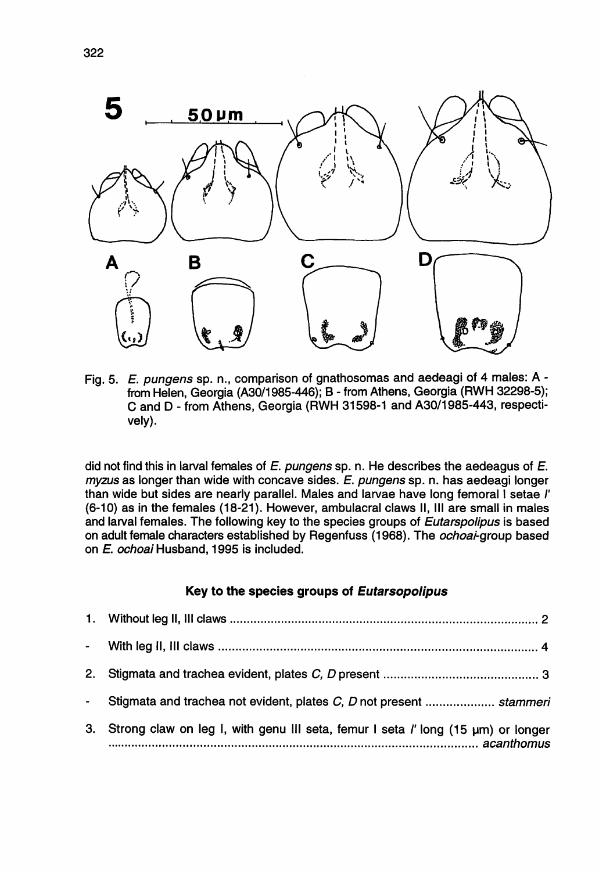

Fig. 5. E. pungens sp. n., comparison of gnathosomas and aedeagi of 4 males: A from Helen, Georgia (A30/1985-446); B - from Athens, Georgia (RWH 32298-5); C and D - from Athens, Georgia (RWH 31598-1 and A30/1985-443, respectively).

did not find this in larval females of  $E$ . pungens sp. n. He describes the aedeagus of  $E$ .  $myzus$  as longer than wide with concave sides.  $E.$  pungens sp. n. has aedeagi longer than wide but sides are nearly parallel. Males and larvae have long femoral I setae I' (6-10) as in the females (18-21). However, ambulacral claws 11, III are small in males and larval females. The following key to the species groups of *Eutarspolipus* is based on adult female characters established by Regenfuss (1968). The *ochoai-group* based on E. ochoai Husband, 1995 is included.

## Key to the species groups of Eutarsopolipus

| - Stigmata and trachea not evident, plates C, D not present  stammeri               |  |
|-------------------------------------------------------------------------------------|--|
| 3. Strong claw on leg I, with genu III seta, femur I seta I' long (15 µm) or longer |  |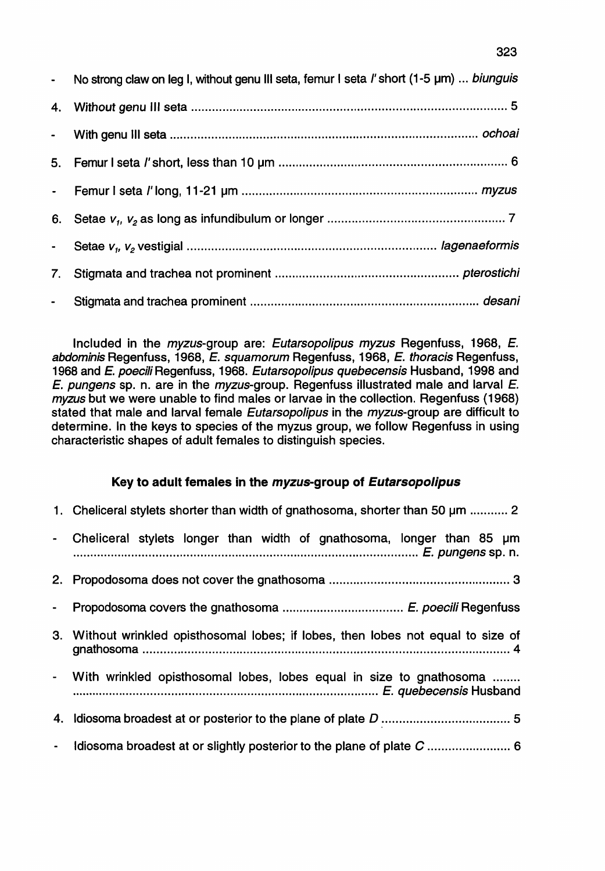|    | - No strong claw on leg I, without genu III seta, femur I seta I' short (1-5 µm)  biunguis |
|----|--------------------------------------------------------------------------------------------|
|    |                                                                                            |
|    |                                                                                            |
|    |                                                                                            |
|    |                                                                                            |
|    |                                                                                            |
|    |                                                                                            |
| 7. |                                                                                            |
|    |                                                                                            |

Included in the myzus-group are: Eutarsopolipus myzus Regenfuss, 1968, E. abdominis Regenfuss, 1968, E. squamorum Regenfuss, 1968, E. thoracis Regenfuss, 1968 and E. poecili Regenfuss, 1968. Eutarsopolipus quebecensis Husband, 1998 and E. pungens sp. n. are in the myzus-group. Regenfuss illustrated male and larval E. myzus but we were unable to find males or larvae in the collection. Regenfuss (1968) stated that male and larval female Eutarsopolipus in the myzus-group are difficult to determine. In the keys to species of the myzus group, we follow Regenfuss in using characteristic shapes of adult females to distinguish species.

## Key to adult females in the myzus-group of Eutarsopolipus

|             | 1. Cheliceral stylets shorter than width of gnathosoma, shorter than 50 um  2     |  |  |  |  |  |  |  |
|-------------|-----------------------------------------------------------------------------------|--|--|--|--|--|--|--|
|             | - Cheliceral stylets longer than width of gnathosoma, longer than 85 um           |  |  |  |  |  |  |  |
|             |                                                                                   |  |  |  |  |  |  |  |
| $\bullet$ . |                                                                                   |  |  |  |  |  |  |  |
|             | 3. Without wrinkled opisthosomal lobes; if lobes, then lobes not equal to size of |  |  |  |  |  |  |  |
|             | - With wrinkled opisthosomal lobes, lobes equal in size to gnathosoma             |  |  |  |  |  |  |  |
|             |                                                                                   |  |  |  |  |  |  |  |
|             |                                                                                   |  |  |  |  |  |  |  |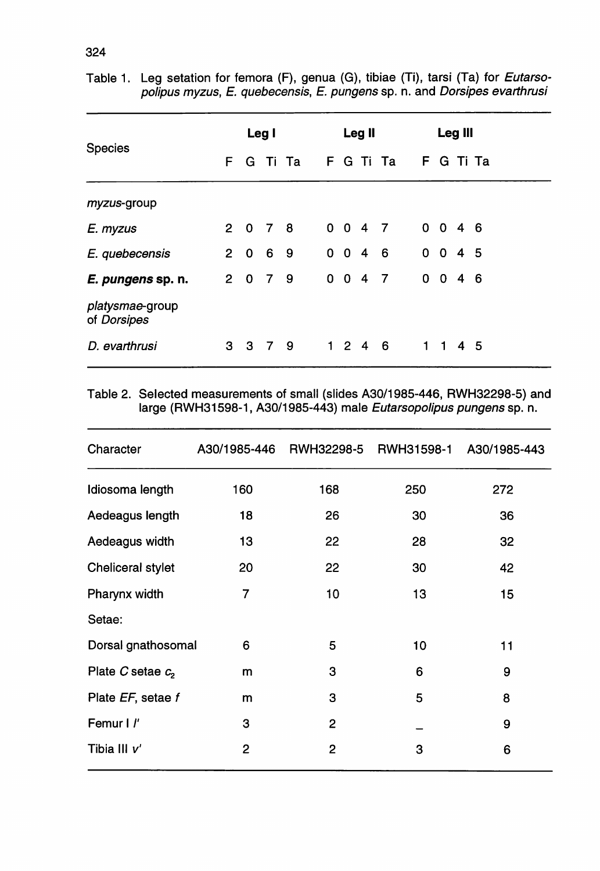|                                       | Leg I      |         |       |     | Leg II |             |           | Leg III |   |             |                 |           |
|---------------------------------------|------------|---------|-------|-----|--------|-------------|-----------|---------|---|-------------|-----------------|-----------|
| <b>Species</b>                        | F          | G       | Ti Ta |     |        |             | F G Ti Ta |         |   |             |                 | F G Ti Ta |
| myzus-group                           |            |         |       |     |        |             |           |         |   |             |                 |           |
| E. myzus                              | $2\quad 0$ |         | 78    |     |        |             | 0 0 4 7   |         |   |             | 0 0 4 6         |           |
| E. quebecensis                        | $2\quad 0$ |         | - 6   | - 9 |        | $0 \t0 \t4$ |           | - 6     |   |             | $0 \t0 \t4 \t5$ |           |
| E. pungens sp. n.                     | $2\quad 0$ |         | 79    |     |        | $0 \t0 \t4$ |           | - 7     | 0 | - 0         | $\overline{4}$  | -6        |
| <i>platysmae-group</i><br>of Dorsipes |            |         |       |     |        |             |           |         |   |             |                 |           |
| D. evarthrusi                         |            | 3 3 7 9 |       |     |        |             | 1246      |         |   | $1 \quad 1$ | 45              |           |

Table 1. Leg setation for femora (F), genua (G), tibiae (Ti), tarsi (Ta) for Eutarsopolipus myzus, E. quebecensis, E. pungens sp. n. and Dorsipes evarthrusi

## Table 2. Selected measurements of small (slides A30/1985-446, RWH32298-5) and large (RWH31598-1, A30/1985-443) male Eutarsopolipus pungens sp. n.

| Character             | A30/1985-446 | RWH32298-5     | RWH31598-1 | A30/1985-443 |
|-----------------------|--------------|----------------|------------|--------------|
| Idiosoma length       | 160          | 168            | 250        | 272          |
| Aedeagus length       | 18           | 26             | 30         | 36           |
| Aedeagus width        | 13           | 22             | 28         | 32           |
| Cheliceral stylet     | 20           | 22             | 30         | 42           |
| Pharynx width         | 7            | 10             | 13         | 15           |
| Setae:                |              |                |            |              |
| Dorsal gnathosomal    | 6            | 5              | 10         | 11           |
| Plate $C$ setae $c_2$ | m            | 3              | 6          | 9            |
| Plate EF, setae f     | m            | 3              | 5          | 8            |
| Femur I /             | 3            | 2              |            | 9            |
| Tibia III v'          | 2            | $\overline{2}$ | 3          | 6            |

324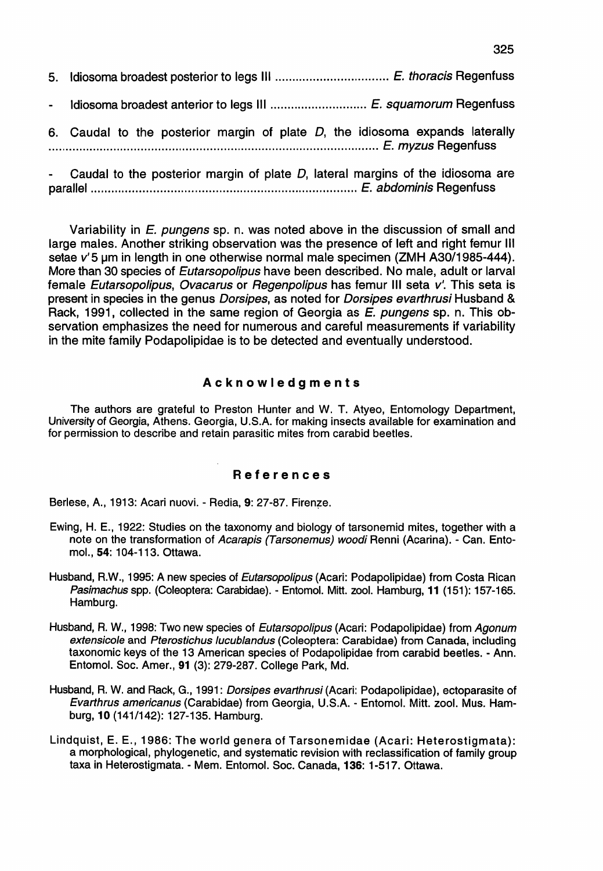5. Idiosoma broadest posterior to legs III E. thoracis Regenfuss Idiosoma broadest anterior to legs III E. squamorum Regenfuss  $\overline{a}$ 6. Caudal to the posterior margin of plate  $D$ , the idiosoma expands laterally ................................................................................................ E. myzus Regenfuss Caudal to the posterior margin of plate *D,* lateral margins of the idiosoma are parallel E. abdominis Regenfuss

Variability in E. pungens sp. n. was noted above in the discussion of small and large males. Another striking observation was the presence of left and right femur III setae v'5 um in length in one otherwise normal male specimen (ZMH A30/1985-444). More than 30 species of Eutarsopolipus have been described. No male, adult or larval female Eutarsopolipus, Ovacarus or Regenpolipus has femur III seta v'. This seta is present in species in the genus Dorsipes, as noted for Dorsipes evarthrusi Husband & Rack, 1991, collected in the same region of Georgia as E. pungens sp. n. This observation emphasizes the need for numerous and careful measurements if variability in the mite family Podapolipidae is to be detected and eventually understood.

#### Acknowledgments

The authors are grateful to Preston Hunter and W. T. Atyeo, Entomology Department, University of Georgia, Athens. Georgia, U.S.A. for making insects available for examination and for permission to describe and retain parasitic mites from carabid beetles.

#### References

Berlese, A., 1913: Acari nuovi. - Redia, 9: 27-87. Firenze.

- Ewing, H. E., 1922: Studies on the taxonomy and biology of tarsonemid mites, together with a note on the transformation of Acarapis (Tarsonemus) woodi Renni (Acarina). - Can. Entomol., 54: 104-113. Ottawa.
- Husband, R.W., 1995: A new species of Eutarsopolipus (Acari: Podapolipidae) from Costa Rican Pasimachus spp. (Coleoptera: Carabidae). - Entomol. Mitt. zool. Hamburg, 11 (151): 157-165. Hamburg.
- Husband, R. W., 1998: Two new species of Eutarsopolipus (Acari: Podapolipidae) from Agonum extensicole and Pterostichus lucublandus (Coleoptera: Carabidae) from Canada, including taxonomic keys of the 13 American species of Podapolipidae from carabid beetles. - Ann. Entomol. Soc. Amer., 91 (3): 279-287. College Park, Md.
- Husband, R. W. and Rack, G., 1991: *Dorsipes evarthrusi* (Acari: Podapolipidae), ectoparasite of Evarthrus americanus (Carabidae) from Georgia, U.S.A. - Entomol. Mitt. zool. Mus. Hamburg, 10 (141/142): 127-135. Hamburg.
- Lindquist, E. E., 1986: The world genera of Tarsonemidae (Acari: Heterostigmata): a morphological, phylogenetic, and systematic revision with reclassification of family group taxa in Heterostigmata. - Mem. Entomol. Soc. Canada, 136: 1-517. Ottawa.